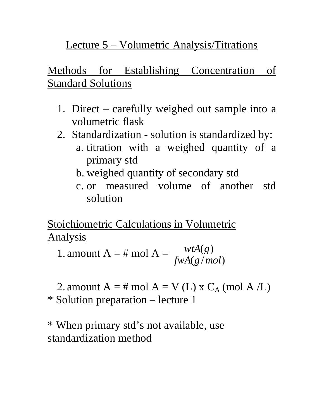# Lecture 5 – Volumetric Analysis/Titrations

# Methods for Establishing Concentration of **Standard Solutions**

- 1. Direct carefully weighed out sample into a volumetric flask
- 2. Standardization solution is standardized by:
	- a. titration with a weighed quantity of a primary std
	- b. weighed quantity of secondary std
	- c. or measured volume of another std solution

Stoichiometric Calculations in Volumetric Analysis

1. amount A = # mol A =  $\frac{WA(g)}{fwA(g/mol)}$  $(g)$ *fwA g mol*  $wtA(g)$ 

2. amount  $A = \text{\# mol } A = V (L)$  x  $C_A$  (mol A /L) \* Solution preparation – lecture 1

\* When primary std's not available, use standardization method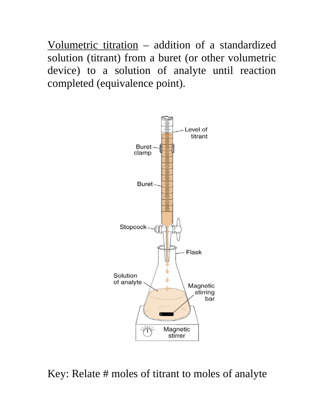Volumetric titration – addition of a standardized solution (titrant) from a buret (or other volumetric device) to a solution of analyte until reaction completed (equivalence point).



Key: Relate # moles of titrant to moles of analyte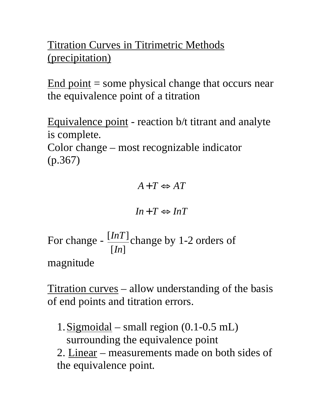Titration Curves in Titrimetric Methods (precipitation)

End point  $=$  some physical change that occurs near the equivalence point of a titration

Equivalence point - reaction b/t titrant and analyte is complete.

Color change – most recognizable indicator (p.367)

 $A + T \Leftrightarrow AT$ 

$$
In+T \Leftrightarrow InT
$$

For change -  $\frac{\lfloor I nI \rfloor}{[In]}$  $[lnT]$ *In InT*] change by 1-2 orders of magnitude

Titration curves – allow understanding of the basis of end points and titration errors.

1.Sigmoidal – small region (0.1-0.5 mL) surrounding the equivalence point

2. Linear – measurements made on both sides of the equivalence point.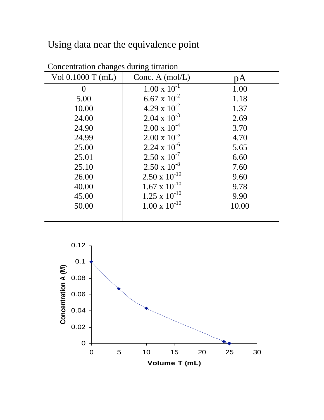# Using data near the equivalence point

| Vol $0.1000$ T (mL) | Conc. A $(mol/L)$      | рA    |
|---------------------|------------------------|-------|
| $\theta$            | $1.00 \times 10^{-1}$  | 1.00  |
| 5.00                | $6.67 \times 10^{-2}$  | 1.18  |
| 10.00               | $4.29 \times 10^{-2}$  | 1.37  |
| 24.00               | $2.04 \times 10^{-3}$  | 2.69  |
| 24.90               | $2.00 \times 10^{-4}$  | 3.70  |
| 24.99               | $2.00 \times 10^{-5}$  | 4.70  |
| 25.00               | $2.24 \times 10^{-6}$  | 5.65  |
| 25.01               | $2.50 \times 10^{-7}$  | 6.60  |
| 25.10               | $2.50 \times 10^{-8}$  | 7.60  |
| 26.00               | $2.50 \times 10^{-10}$ | 9.60  |
| 40.00               | $1.67 \times 10^{-10}$ | 9.78  |
| 45.00               | $1.25 \times 10^{-10}$ | 9.90  |
| 50.00               | $1.00 \times 10^{-10}$ | 10.00 |
|                     |                        |       |

#### Concentration changes during titration

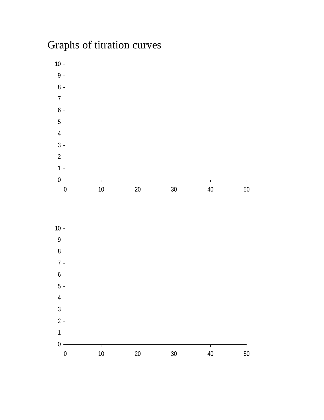# Graphs of titration curves



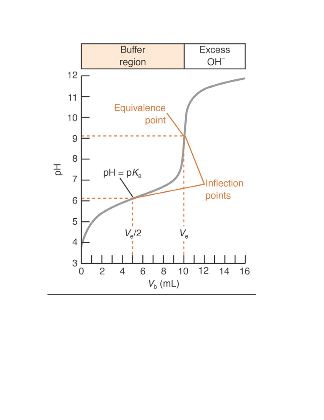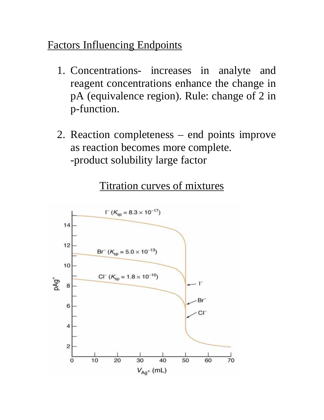### Factors Influencing Endpoints

- 1. Concentrations- increases in analyte and reagent concentrations enhance the change in pA (equivalence region). Rule: change of 2 in p-function.
- 2. Reaction completeness end points improve as reaction becomes more complete. -product solubility large factor

### Titration curves of mixtures